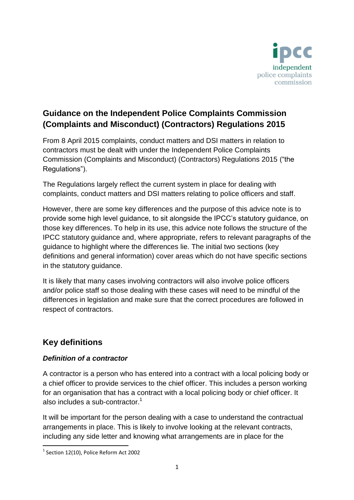

# **Guidance on the Independent Police Complaints Commission (Complaints and Misconduct) (Contractors) Regulations 2015**

From 8 April 2015 complaints, conduct matters and DSI matters in relation to contractors must be dealt with under the Independent Police Complaints Commission (Complaints and Misconduct) (Contractors) Regulations 2015 ("the Regulations").

The Regulations largely reflect the current system in place for dealing with complaints, conduct matters and DSI matters relating to police officers and staff.

However, there are some key differences and the purpose of this advice note is to provide some high level guidance, to sit alongside the IPCC's statutory guidance, on those key differences. To help in its use, this advice note follows the structure of the IPCC statutory guidance and, where appropriate, refers to relevant paragraphs of the guidance to highlight where the differences lie. The initial two sections (key definitions and general information) cover areas which do not have specific sections in the statutory guidance.

It is likely that many cases involving contractors will also involve police officers and/or police staff so those dealing with these cases will need to be mindful of the differences in legislation and make sure that the correct procedures are followed in respect of contractors.

# **Key definitions**

# *Definition of a contractor*

A contractor is a person who has entered into a contract with a local policing body or a chief officer to provide services to the chief officer. This includes a person working for an organisation that has a contract with a local policing body or chief officer. It also includes a sub-contractor. $1$ 

It will be important for the person dealing with a case to understand the contractual arrangements in place. This is likely to involve looking at the relevant contracts, including any side letter and knowing what arrangements are in place for the

**.** 

<sup>&</sup>lt;sup>1</sup> Section 12(10), Police Reform Act 2002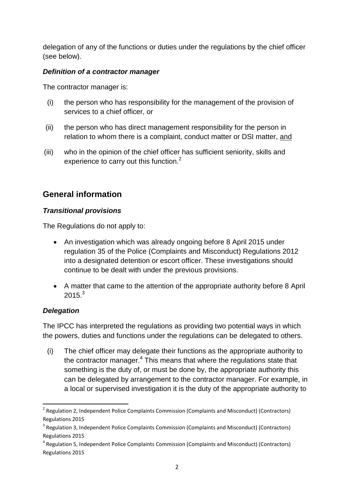delegation of any of the functions or duties under the regulations by the chief officer (see below).

## *Definition of a contractor manager*

The contractor manager is:

- (i) the person who has responsibility for the management of the provision of services to a chief officer, or
- (ii) the person who has direct management responsibility for the person in relation to whom there is a complaint, conduct matter or DSI matter, and
- (iii) who in the opinion of the chief officer has sufficient seniority, skills and experience to carry out this function.<sup>2</sup>

# **General information**

## *Transitional provisions*

The Regulations do not apply to:

- An investigation which was already ongoing before 8 April 2015 under regulation 35 of the Police (Complaints and Misconduct) Regulations 2012 into a designated detention or escort officer. These investigations should continue to be dealt with under the previous provisions.
- A matter that came to the attention of the appropriate authority before 8 April  $2015.<sup>3</sup>$

# *Delegation*

**.** 

The IPCC has interpreted the regulations as providing two potential ways in which the powers, duties and functions under the regulations can be delegated to others.

(i) The chief officer may delegate their functions as the appropriate authority to the contractor manager.<sup>4</sup> This means that where the regulations state that something is the duty of, or must be done by, the appropriate authority this can be delegated by arrangement to the contractor manager. For example, in a local or supervised investigation it is the duty of the appropriate authority to

<sup>&</sup>lt;sup>2</sup> Regulation 2, Independent Police Complaints Commission (Complaints and Misconduct) (Contractors) Regulations 2015

<sup>&</sup>lt;sup>3</sup> Regulation 3, Independent Police Complaints Commission (Complaints and Misconduct) (Contractors) Regulations 2015

<sup>&</sup>lt;sup>4</sup> Regulation 5, Independent Police Complaints Commission (Complaints and Misconduct) (Contractors) Regulations 2015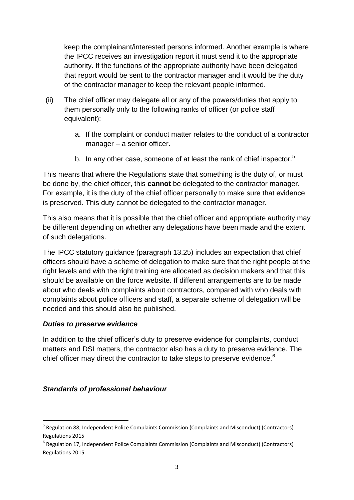keep the complainant/interested persons informed. Another example is where the IPCC receives an investigation report it must send it to the appropriate authority. If the functions of the appropriate authority have been delegated that report would be sent to the contractor manager and it would be the duty of the contractor manager to keep the relevant people informed.

- (ii) The chief officer may delegate all or any of the powers/duties that apply to them personally only to the following ranks of officer (or police staff equivalent):
	- a. If the complaint or conduct matter relates to the conduct of a contractor manager – a senior officer.
	- b. In any other case, someone of at least the rank of chief inspector.<sup>5</sup>

This means that where the Regulations state that something is the duty of, or must be done by, the chief officer, this **cannot** be delegated to the contractor manager. For example, it is the duty of the chief officer personally to make sure that evidence is preserved. This duty cannot be delegated to the contractor manager.

This also means that it is possible that the chief officer and appropriate authority may be different depending on whether any delegations have been made and the extent of such delegations.

The IPCC statutory guidance (paragraph 13.25) includes an expectation that chief officers should have a scheme of delegation to make sure that the right people at the right levels and with the right training are allocated as decision makers and that this should be available on the force website. If different arrangements are to be made about who deals with complaints about contractors, compared with who deals with complaints about police officers and staff, a separate scheme of delegation will be needed and this should also be published.

### *Duties to preserve evidence*

 $\overline{a}$ 

In addition to the chief officer's duty to preserve evidence for complaints, conduct matters and DSI matters, the contractor also has a duty to preserve evidence. The chief officer may direct the contractor to take steps to preserve evidence.<sup>6</sup>

# *Standards of professional behaviour*

<sup>&</sup>lt;sup>5</sup> Regulation 88, Independent Police Complaints Commission (Complaints and Misconduct) (Contractors) Regulations 2015

<sup>&</sup>lt;sup>6</sup> Regulation 17, Independent Police Complaints Commission (Complaints and Misconduct) (Contractors) Regulations 2015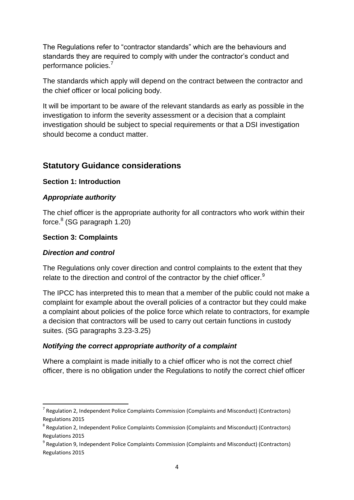The Regulations refer to "contractor standards" which are the behaviours and standards they are required to comply with under the contractor's conduct and performance policies.<sup>7</sup>

The standards which apply will depend on the contract between the contractor and the chief officer or local policing body.

It will be important to be aware of the relevant standards as early as possible in the investigation to inform the severity assessment or a decision that a complaint investigation should be subject to special requirements or that a DSI investigation should become a conduct matter.

# **Statutory Guidance considerations**

### **Section 1: Introduction**

## *Appropriate authority*

The chief officer is the appropriate authority for all contractors who work within their force.<sup>8</sup> (SG paragraph 1.20)

## **Section 3: Complaints**

### *Direction and control*

**.** 

The Regulations only cover direction and control complaints to the extent that they relate to the direction and control of the contractor by the chief officer.<sup>9</sup>

The IPCC has interpreted this to mean that a member of the public could not make a complaint for example about the overall policies of a contractor but they could make a complaint about policies of the police force which relate to contractors, for example a decision that contractors will be used to carry out certain functions in custody suites. (SG paragraphs 3.23-3.25)

# *Notifying the correct appropriate authority of a complaint*

Where a complaint is made initially to a chief officer who is not the correct chief officer, there is no obligation under the Regulations to notify the correct chief officer

<sup>&</sup>lt;sup>7</sup> Regulation 2, Independent Police Complaints Commission (Complaints and Misconduct) (Contractors) Regulations 2015

<sup>&</sup>lt;sup>8</sup> Regulation 2, Independent Police Complaints Commission (Complaints and Misconduct) (Contractors) Regulations 2015

<sup>&</sup>lt;sup>9</sup> Regulation 9, Independent Police Complaints Commission (Complaints and Misconduct) (Contractors) Regulations 2015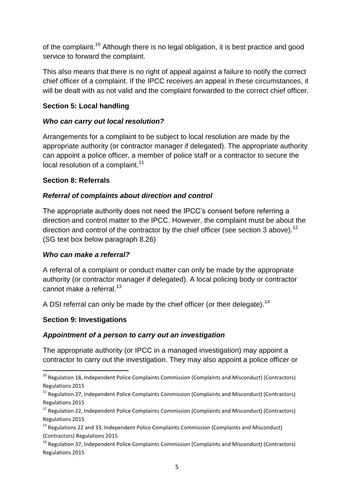of the complaint.<sup>10</sup> Although there is no legal obligation, it is best practice and good service to forward the complaint.

This also means that there is no right of appeal against a failure to notify the correct chief officer of a complaint. If the IPCC receives an appeal in these circumstances, it will be dealt with as not valid and the complaint forwarded to the correct chief officer.

## **Section 5: Local handling**

## *Who can carry out local resolution?*

Arrangements for a complaint to be subject to local resolution are made by the appropriate authority (or contractor manager if delegated). The appropriate authority can appoint a police officer, a member of police staff or a contractor to secure the local resolution of a complaint. $11$ 

## **Section 8: Referrals**

## *Referral of complaints about direction and control*

The appropriate authority does not need the IPCC's consent before referring a direction and control matter to the IPCC. However, the complaint must be about the direction and control of the contractor by the chief officer (see section 3 above).<sup>12</sup> (SG text box below paragraph 8.26)

### *Who can make a referral?*

A referral of a complaint or conduct matter can only be made by the appropriate authority (or contractor manager if delegated). A local policing body or contractor cannot make a referral  $^{13}$ .

A DSI referral can only be made by the chief officer (or their delegate).<sup>14</sup>

# **Section 9: Investigations**

**.** 

### *Appointment of a person to carry out an investigation*

The appropriate authority (or IPCC in a managed investigation) may appoint a contractor to carry out the investigation. They may also appoint a police officer or

 $^{10}$  Regulation 18, Independent Police Complaints Commission (Complaints and Misconduct) (Contractors) Regulations 2015

 $11$  Regulation 27, Independent Police Complaints Commission (Complaints and Misconduct) (Contractors) Regulations 2015

 $12$  Regulation 22, Independent Police Complaints Commission (Complaints and Misconduct) (Contractors) Regulations 2015

 $13$  Regulations 22 and 33, Independent Police Complaints Commission (Complaints and Misconduct) (Contractors) Regulations 2015

 $14$  Regulation 37, Independent Police Complaints Commission (Complaints and Misconduct) (Contractors) Regulations 2015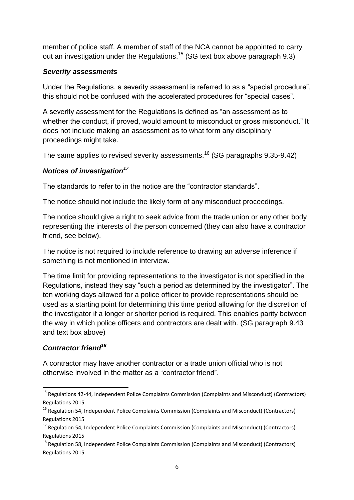member of police staff. A member of staff of the NCA cannot be appointed to carry out an investigation under the Regulations.<sup>15</sup> (SG text box above paragraph 9.3)

#### *Severity assessments*

Under the Regulations, a severity assessment is referred to as a "special procedure", this should not be confused with the accelerated procedures for "special cases".

A severity assessment for the Regulations is defined as "an assessment as to whether the conduct, if proved, would amount to misconduct or gross misconduct." It does not include making an assessment as to what form any disciplinary proceedings might take.

The same applies to revised severity assessments.<sup>16</sup> (SG paragraphs 9.35-9.42)

## *Notices of investigation<sup>17</sup>*

The standards to refer to in the notice are the "contractor standards".

The notice should not include the likely form of any misconduct proceedings.

The notice should give a right to seek advice from the trade union or any other body representing the interests of the person concerned (they can also have a contractor friend, see below).

The notice is not required to include reference to drawing an adverse inference if something is not mentioned in interview.

The time limit for providing representations to the investigator is not specified in the Regulations, instead they say "such a period as determined by the investigator". The ten working days allowed for a police officer to provide representations should be used as a starting point for determining this time period allowing for the discretion of the investigator if a longer or shorter period is required. This enables parity between the way in which police officers and contractors are dealt with. (SG paragraph 9.43 and text box above)

### *Contractor friend<sup>18</sup>*

**.** 

A contractor may have another contractor or a trade union official who is not otherwise involved in the matter as a "contractor friend".

<sup>&</sup>lt;sup>15</sup> Regulations 42-44, Independent Police Complaints Commission (Complaints and Misconduct) (Contractors) Regulations 2015

 $16$  Regulation 54, Independent Police Complaints Commission (Complaints and Misconduct) (Contractors) Regulations 2015

 $17$  Regulation 54, Independent Police Complaints Commission (Complaints and Misconduct) (Contractors) Regulations 2015

<sup>&</sup>lt;sup>18</sup> Regulation 58, Independent Police Complaints Commission (Complaints and Misconduct) (Contractors) Regulations 2015